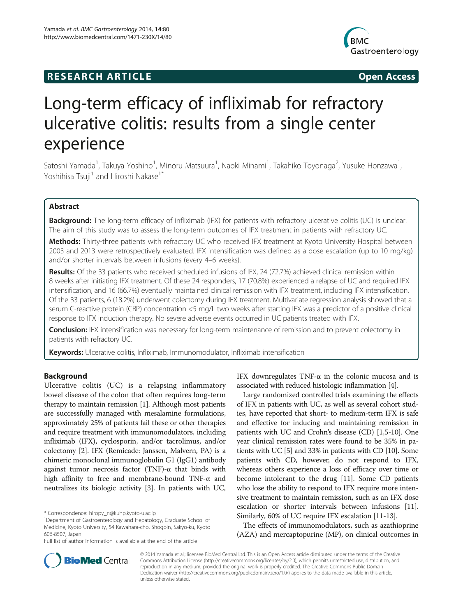# **RESEARCH ARTICLE Example 2014 The SEAR CH ACCESS**



# Long-term efficacy of infliximab for refractory ulcerative colitis: results from a single center experience

Satoshi Yamada<sup>1</sup>, Takuya Yoshino<sup>1</sup>, Minoru Matsuura<sup>1</sup>, Naoki Minami<sup>1</sup>, Takahiko Toyonaga<sup>2</sup>, Yusuke Honzawa<sup>1</sup> , Yoshihisa Tsuji<sup>1</sup> and Hiroshi Nakase<sup>1\*</sup>

# Abstract

Background: The long-term efficacy of infliximab (IFX) for patients with refractory ulcerative colitis (UC) is unclear. The aim of this study was to assess the long-term outcomes of IFX treatment in patients with refractory UC.

Methods: Thirty-three patients with refractory UC who received IFX treatment at Kyoto University Hospital between 2003 and 2013 were retrospectively evaluated. IFX intensification was defined as a dose escalation (up to 10 mg/kg) and/or shorter intervals between infusions (every 4–6 weeks).

Results: Of the 33 patients who received scheduled infusions of IFX, 24 (72.7%) achieved clinical remission within 8 weeks after initiating IFX treatment. Of these 24 responders, 17 (70.8%) experienced a relapse of UC and required IFX intensification, and 16 (66.7%) eventually maintained clinical remission with IFX treatment, including IFX intensification. Of the 33 patients, 6 (18.2%) underwent colectomy during IFX treatment. Multivariate regression analysis showed that a serum C-reactive protein (CRP) concentration <5 mg/L two weeks after starting IFX was a predictor of a positive clinical response to IFX induction therapy. No severe adverse events occurred in UC patients treated with IFX.

**Conclusion:** IFX intensification was necessary for long-term maintenance of remission and to prevent colectomy in patients with refractory UC.

Keywords: Ulcerative colitis, Infliximab, Immunomodulator, Infliximab intensification

# Background

Ulcerative colitis (UC) is a relapsing inflammatory bowel disease of the colon that often requires long-term therapy to maintain remission [\[1\]](#page-7-0). Although most patients are successfully managed with mesalamine formulations, approximately 25% of patients fail these or other therapies and require treatment with immunomodulators, including infliximab (IFX), cyclosporin, and/or tacrolimus, and/or colectomy [\[2](#page-7-0)]. IFX (Remicade: Janssen, Malvern, PA) is a chimeric monoclonal immunoglobulin G1 (IgG1) antibody against tumor necrosis factor (TNF)-α that binds with high affinity to free and membrane-bound TNF-α and neutralizes its biologic activity [\[3](#page-7-0)]. In patients with UC,

IFX downregulates TNF-α in the colonic mucosa and is associated with reduced histologic inflammation [[4](#page-7-0)].

Large randomized controlled trials examining the effects of IFX in patients with UC, as well as several cohort studies, have reported that short- to medium-term IFX is safe and effective for inducing and maintaining remission in patients with UC and Crohn's disease (CD) [[1,5-10\]](#page-7-0). One year clinical remission rates were found to be 35% in patients with UC [[5](#page-7-0)] and 33% in patients with CD [\[10\]](#page-7-0). Some patients with CD, however, do not respond to IFX, whereas others experience a loss of efficacy over time or become intolerant to the drug [[11](#page-7-0)]. Some CD patients who lose the ability to respond to IFX require more intensive treatment to maintain remission, such as an IFX dose escalation or shorter intervals between infusions [[11](#page-7-0)]. Similarly, 60% of UC require IFX escalation [[11](#page-7-0)-[13](#page-7-0)].

The effects of immunomodulators, such as azathioprine (AZA) and mercaptopurine (MP), on clinical outcomes in



© 2014 Yamada et al.; licensee BioMed Central Ltd. This is an Open Access article distributed under the terms of the Creative Commons Attribution License [\(http://creativecommons.org/licenses/by/2.0\)](http://creativecommons.org/licenses/by/2.0), which permits unrestricted use, distribution, and reproduction in any medium, provided the original work is properly credited. The Creative Commons Public Domain Dedication waiver [\(http://creativecommons.org/publicdomain/zero/1.0/](http://creativecommons.org/publicdomain/zero/1.0/)) applies to the data made available in this article, unless otherwise stated.

<sup>\*</sup> Correspondence: [hiropy\\_n@kuhp.kyoto-u.ac.jp](mailto:hiropy_n@kuhp.kyoto-u.ac.jp) <sup>1</sup>

Department of Gastroenterology and Hepatology, Graduate School of Medicine, Kyoto University, 54 Kawahara-cho, Shogoin, Sakyo-ku, Kyoto 606-8507, Japan

Full list of author information is available at the end of the article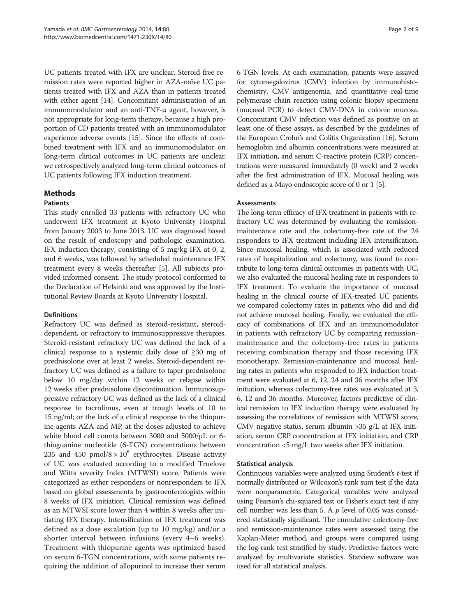UC patients treated with IFX are unclear. Steroid-free remission rates were reported higher in AZA-naïve UC patients treated with IFX and AZA than in patients treated with either agent [[14](#page-7-0)]. Concomitant administration of an immunomodulator and an anti-TNF-α agent, however, is not appropriate for long-term therapy, because a high proportion of CD patients treated with an immunomodulator experience adverse events [[15](#page-7-0)]. Since the effects of combined treatment with IFX and an immunomodulator on long-term clinical outcomes in UC patients are unclear, we retrospectively analyzed long-term clinical outcomes of UC patients following IFX induction treatment.

# Methods

# **Patients**

This study enrolled 33 patients with refractory UC who underwent IFX treatment at Kyoto University Hospital from January 2003 to June 2013. UC was diagnosed based on the result of endoscopy and pathologic examination. IFX induction therapy, consisting of 5 mg/kg IFX at 0, 2, and 6 weeks, was followed by scheduled maintenance IFX treatment every 8 weeks thereafter [\[5](#page-7-0)]. All subjects provided informed consent. The study protocol conformed to the Declaration of Helsinki and was approved by the Institutional Review Boards at Kyoto University Hospital.

# Definitions

Refractory UC was defined as steroid-resistant, steroiddependent, or refractory to immunosuppressive therapies. Steroid-resistant refractory UC was defined the lack of a clinical response to a systemic daily dose of  $\geq 30$  mg of prednisolone over at least 2 weeks. Steroid-dependent refractory UC was defined as a failure to taper prednisolone below 10 mg/day within 12 weeks or relapse within 12 weeks after prednisolone discontinuation. Immunosuppressive refractory UC was defined as the lack of a clinical response to tacrolimus, even at trough levels of 10 to 15 ng/ml; or the lack of a clinical response to the thiopurine agents AZA and MP, at the doses adjusted to achieve white blood cell counts between 3000 and 5000/μL or 6 thioguanine nucleotide (6-TGN) concentrations between 235 and 450 pmol/8  $\times$  10<sup>8</sup> erythrocytes. Disease activity of UC was evaluated according to a modified Truelove and Witts severity Index (MTWSI) score. Patients were categorized as either responders or nonresponders to IFX based on global assessments by gastroenterologists within 8 weeks of IFX initiation. Clinical remission was defined as an MTWSI score lower than 4 within 8 weeks after initiating IFX therapy. Intensification of IFX treatment was defined as a dose escalation (up to 10 mg/kg) and/or a shorter interval between infusions (every 4–6 weeks). Treatment with thiopurine agents was optimized based on serum 6-TGN concentrations, with some patients requiring the addition of allopurinol to increase their serum 6-TGN levels. At each examination, patients were assayed for cytomegalovirus (CMV) infection by immunohistochemistry, CMV antigenemia, and quantitative real-time polymerase chain reaction using colonic biopsy specimens (mucosal PCR) to detect CMV-DNA in colonic mucosa. Concomitant CMV infection was defined as positive on at least one of these assays, as described by the guidelines of the European Crohn's and Colitis Organization [\[16\]](#page-7-0). Serum hemoglobin and albumin concentrations were measured at IFX initiation, and serum C-reactive protein (CRP) concentrations were measured immediately (0 week) and 2 weeks after the first administration of IFX. Mucosal healing was defined as a Mayo endoscopic score of 0 or 1 [\[5\]](#page-7-0).

# Assessments

The long-term efficacy of IFX treatment in patients with refractory UC was determined by evaluating the remissionmaintenance rate and the colectomy-free rate of the 24 responders to IFX treatment including IFX intensification. Since mucosal healing, which is associated with reduced rates of hospitalization and colectomy, was found to contribute to long-term clinical outcomes in patients with UC, we also evaluated the mucosal healing rate in responders to IFX treatment. To evaluate the importance of mucosal healing in the clinical course of IFX-treated UC patients, we compared colectomy rates in patients who did and did not achieve mucosal healing. Finally, we evaluated the efficacy of combinations of IFX and an immunomodulator in patients with refractory UC by comparing remissionmaintenance and the colectomy-free rates in patients receiving combination therapy and those receiving IFX monotherapy. Remission-maintenance and mucosal healing rates in patients who responded to IFX induction treatment were evaluated at 6, 12, 24 and 36 months after IFX initiation, whereas colectomy-free rates was evaluated at 3, 6, 12 and 36 months. Moreover, factors predictive of clinical remission to IFX induction therapy were evaluated by assessing the correlations of remission with MTWSI score, CMV negative status, serum albumin >35 g/L at IFX initiation, serum CRP concentration at IFX initiation, and CRP concentration  $<$ 5 mg/L two weeks after IFX initiation.

# Statistical analysis

Continuous variables were analyzed using Student's *t*-test if normally distributed or Wilcoxon's rank sum test if the data were nonparametric. Categorical variables were analyzed using Pearson's chi-squared test or Fisher's exact test if any cell number was less than 5. A  $p$  level of 0.05 was considered statistically significant. The cumulative colectomy-free and remission-maintenance rates were assessed using the Kaplan-Meier method, and groups were compared using the log-rank test stratified by study. Predictive factors were analyzed by multivariate statistics. Statview software was used for all statistical analysis.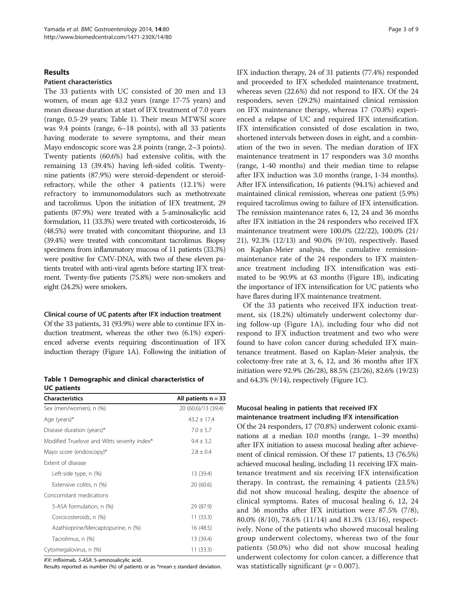# Results

# Patient characteristics

The 33 patients with UC consisted of 20 men and 13 women, of mean age 43.2 years (range 17-75 years) and mean disease duration at start of IFX treatment of 7.0 years (range, 0.5-29 years; Table 1). Their mean MTWSI score was 9.4 points (range, 6–18 points), with all 33 patients having moderate to severe symptoms, and their mean Mayo endoscopic score was 2.8 points (range, 2–3 points). Twenty patients (60.6%) had extensive colitis, with the remaining 13 (39.4%) having left-sided colitis. Twentynine patients (87.9%) were steroid-dependent or steroidrefractory, while the other 4 patients (12.1%) were refractory to immunomodulators such as methotrexate and tacrolimus. Upon the initiation of IFX treatment, 29 patients (87.9%) were treated with a 5-aminosalicylic acid formulation, 11 (33.3%) were treated with corticosteroids, 16 (48.5%) were treated with concomitant thiopurine, and 13 (39.4%) were treated with concomitant tacrolimus. Biopsy specimens from inflammatory mucosa of 11 patients (33.3%) were positive for CMV-DNA, with two of these eleven patients treated with anti-viral agents before starting IFX treatment. Twenty-five patients (75.8%) were non-smokers and eight (24.2%) were smokers.

# Clinical course of UC patents after IFX induction treatment

Of the 33 patients, 31 (93.9%) were able to continue IFX induction treatment, whereas the other two (6.1%) experienced adverse events requiring discontinuation of IFX induction therapy (Figure [1](#page-3-0)A). Following the initiation of

|                    | Table 1 Demographic and clinical characteristics of |  |  |
|--------------------|-----------------------------------------------------|--|--|
| <b>UC</b> patients |                                                     |  |  |

| <b>Characteristics</b>                      | All patients $n = 33$ |
|---------------------------------------------|-----------------------|
| Sex (men/women), n (%)                      | 20 (60.6)/13 (39.4)   |
| Age (years)*                                | $43.2 \pm 17.4$       |
| Disease duration (years)*                   | $7.0 \pm 5.7$         |
| Modified Truelove and Witts severity index* | $9.4 + 3.2$           |
| Mayo score (endoscopy)*                     | $2.8 \pm 0.4$         |
| Extent of disease                           |                       |
| Left-side type, n (%)                       | 13 (39.4)             |
| Extensive colitis, n (%)                    | 20 (60.6)             |
| Concomitant medications                     |                       |
| 5-ASA formulation, n (%)                    | 29 (87.9)             |
| Corcicosteroids, n (%)                      | 11(33.3)              |
| Azathioprine/Mercaptopurine, n (%)          | 16 (48.5)             |
| Tacrolimus, n (%)                           | 13 (39.4)             |
| Cytomegalovirus, n (%)                      | 11(33.3)              |

IFX: infliximab, 5-ASA: 5-aminosalicylic acid.

Results reported as number (%) of patients or as \*mean  $\pm$  standard deviation.

IFX induction therapy, 24 of 31 patients (77.4%) responded and proceeded to IFX scheduled maintenance treatment, whereas seven (22.6%) did not respond to IFX. Of the 24 responders, seven (29.2%) maintained clinical remission on IFX maintenance therapy, whereas 17 (70.8%) experienced a relapse of UC and required IFX intensification. IFX intensification consisted of dose escalation in two, shortened intervals between doses in eight, and a combination of the two in seven. The median duration of IFX maintenance treatment in 17 responders was 3.0 months (range, 1-40 months) and their median time to relapse after IFX induction was 3.0 months (range, 1-34 months). After IFX intensification, 16 patients (94.1%) achieved and maintained clinical remission, whereas one patient (5.9%) required tacrolimus owing to failure of IFX intensification. The remission maintenance rates 6, 12, 24 and 36 months after IFX initiation in the 24 responders who received IFX maintenance treatment were 100.0% (22/22), 100.0% (21/ 21), 92.3% (12/13) and 90.0% (9/10), respectively. Based on Kaplan-Meier analysis, the cumulative remissionmaintenance rate of the 24 responders to IFX maintenance treatment including IFX intensification was estimated to be 90.9% at 63 months (Figure [1](#page-3-0)B), indicating the importance of IFX intensification for UC patients who have flares during IFX maintenance treatment.

Of the 33 patients who received IFX induction treatment, six (18.2%) ultimately underwent colectomy during follow-up (Figure [1](#page-3-0)A), including four who did not respond to IFX induction treatment and two who were found to have colon cancer during scheduled IFX maintenance treatment. Based on Kaplan-Meier analysis, the colectomy-free rate at 3, 6, 12, and 36 months after IFX initiation were 92.9% (26/28), 88.5% (23/26), 82.6% (19/23) and  $64.3\%$  (9/14), respectively (Figure [1](#page-3-0)C).

# Mucosal healing in patients that received IFX maintenance treatment including IFX intensification

Of the 24 responders, 17 (70.8%) underwent colonic examinations at a median 10.0 months (range, 1–39 months) after IFX initiation to assess mucosal healing after achievement of clinical remission. Of these 17 patients, 13 (76.5%) achieved mucosal healing, including 11 receiving IFX maintenance treatment and six receiving IFX intensification therapy. In contrast, the remaining 4 patients (23.5%) did not show mucosal healing, despite the absence of clinical symptoms. Rates of mucosal healing 6, 12, 24 and 36 months after IFX initiation were 87.5% (7/8), 80.0% (8/10), 78.6% (11/14) and 81.3% (13/16), respectively. None of the patients who showed mucosal healing group underwent colectomy, whereas two of the four patients (50.0%) who did not show mucosal healing underwent colectomy for colon cancer, a difference that was statistically significant ( $p = 0.007$ ).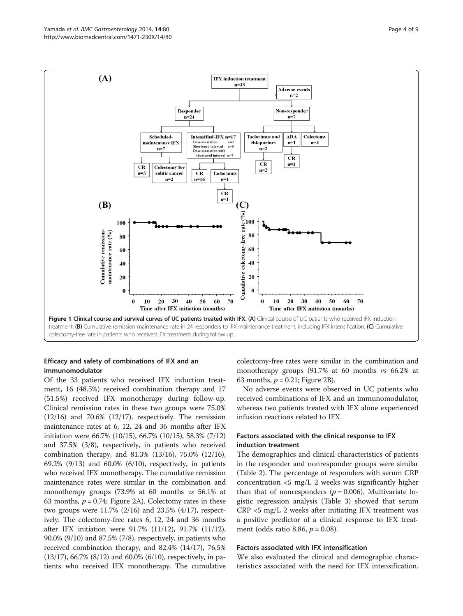<span id="page-3-0"></span>

# Efficacy and safety of combinations of IFX and an immunomodulator

Of the 33 patients who received IFX induction treatment, 16 (48.5%) received combination therapy and 17 (51.5%) received IFX monotherapy during follow-up. Clinical remission rates in these two groups were 75.0%  $(12/16)$  and  $70.6\%$   $(12/17)$ , respectively. The remission maintenance rates at 6, 12, 24 and 36 months after IFX initiation were 66.7% (10/15), 66.7% (10/15), 58.3% (7/12) and 37.5% (3/8), respectively, in patients who received combination therapy, and 81.3% (13/16), 75.0% (12/16), 69.2% (9/13) and 60.0% (6/10), respectively, in patients who received IFX monotherapy. The cumulative remission maintenance rates were similar in the combination and monotherapy groups (73.9% at 60 months vs 56.1% at 63 months,  $p = 0.74$ ; Figure [2](#page-4-0)A). Colectomy rates in these two groups were 11.7% (2/16) and 23.5% (4/17), respectively. The colectomy-free rates 6, 12, 24 and 36 months after IFX initiation were 91.7% (11/12), 91.7% (11/12), 90.0% (9/10) and 87.5% (7/8), respectively, in patients who received combination therapy, and 82.4% (14/17), 76.5% (13/17), 66.7% (8/12) and 60.0% (6/10), respectively, in patients who received IFX monotherapy. The cumulative

colectomy-free rates were similar in the combination and monotherapy groups (91.7% at 60 months vs 66.2% at 63 months,  $p = 0.21$ ; Figure [2B](#page-4-0)).

No adverse events were observed in UC patients who received combinations of IFX and an immunomodulator, whereas two patients treated with IFX alone experienced infusion reactions related to IFX.

# Factors associated with the clinical response to IFX induction treatment

The demographics and clinical characteristics of patients in the responder and nonresponder groups were similar (Table [2\)](#page-5-0). The percentage of responders with serum CRP concentration  $\langle 5 \rangle$  mg/L 2 weeks was significantly higher than that of nonresponders ( $p = 0.006$ ). Multivariate logistic regression analysis (Table [3\)](#page-5-0) showed that serum CRP <5 mg/L 2 weeks after initiating IFX treatment was a positive predictor of a clinical response to IFX treatment (odds ratio 8.86,  $p = 0.08$ ).

#### Factors associated with IFX intensification

We also evaluated the clinical and demographic characteristics associated with the need for IFX intensification.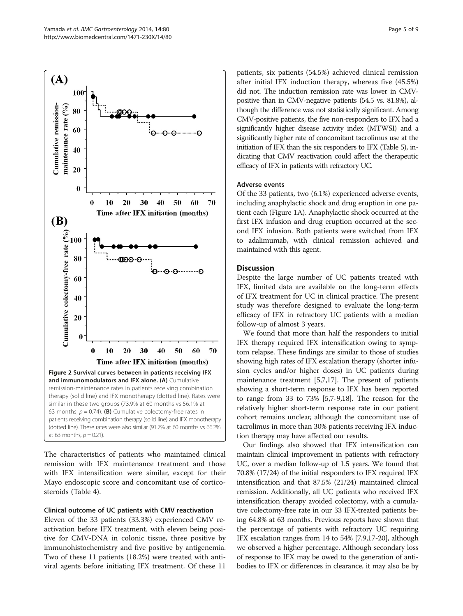<span id="page-4-0"></span>

The characteristics of patients who maintained clinical remission with IFX maintenance treatment and those with IFX intensification were similar, except for their Mayo endoscopic score and concomitant use of corticosteroids (Table [4\)](#page-6-0).

#### Clinical outcome of UC patients with CMV reactivation

Eleven of the 33 patients (33.3%) experienced CMV reactivation before IFX treatment, with eleven being positive for CMV-DNA in colonic tissue, three positive by immunohistochemistry and five positive by antigenemia. Two of these 11 patients (18.2%) were treated with antiviral agents before initiating IFX treatment. Of these 11

patients, six patients (54.5%) achieved clinical remission after initial IFX induction therapy, whereas five (45.5%) did not. The induction remission rate was lower in CMVpositive than in CMV-negative patients (54.5 vs. 81.8%), although the difference was not statistically significant. Among CMV-positive patients, the five non-responders to IFX had a significantly higher disease activity index (MTWSI) and a significantly higher rate of concomitant tacrolimus use at the initiation of IFX than the six responders to IFX (Table [5](#page-6-0)), indicating that CMV reactivation could affect the therapeutic efficacy of IFX in patients with refractory UC.

# Adverse events

Of the 33 patients, two (6.1%) experienced adverse events, including anaphylactic shock and drug eruption in one patient each (Figure [1](#page-3-0)A). Anaphylactic shock occurred at the first IFX infusion and drug eruption occurred at the second IFX infusion. Both patients were switched from IFX to adalimumab, with clinical remission achieved and maintained with this agent.

# **Discussion**

Despite the large number of UC patients treated with IFX, limited data are available on the long-term effects of IFX treatment for UC in clinical practice. The present study was therefore designed to evaluate the long-term efficacy of IFX in refractory UC patients with a median follow-up of almost 3 years.

We found that more than half the responders to initial IFX therapy required IFX intensification owing to symptom relapse. These findings are similar to those of studies showing high rates of IFX escalation therapy (shorter infusion cycles and/or higher doses) in UC patients during maintenance treatment [\[5,7,17](#page-7-0)]. The present of patients showing a short-term response to IFX has been reported to range from 33 to 73% [\[5,7-9](#page-7-0)[,18\]](#page-8-0). The reason for the relatively higher short-term response rate in our patient cohort remains unclear, although the concomitant use of tacrolimus in more than 30% patients receiving IFX induction therapy may have affected our results.

Our findings also showed that IFX intensification can maintain clinical improvement in patients with refractory UC, over a median follow-up of 1.5 years. We found that 70.8% (17/24) of the initial responders to IFX required IFX intensification and that 87.5% (21/24) maintained clinical remission. Additionally, all UC patients who received IFX intensification therapy avoided colectomy, with a cumulative colectomy-free rate in our 33 IFX-treated patients being 64.8% at 63 months. Previous reports have shown that the percentage of patients with refractory UC requiring IFX escalation ranges from 14 to 54% [\[7,9,17](#page-7-0)[-20\]](#page-8-0), although we observed a higher percentage. Although secondary loss of response to IFX may be owed to the generation of antibodies to IFX or differences in clearance, it may also be by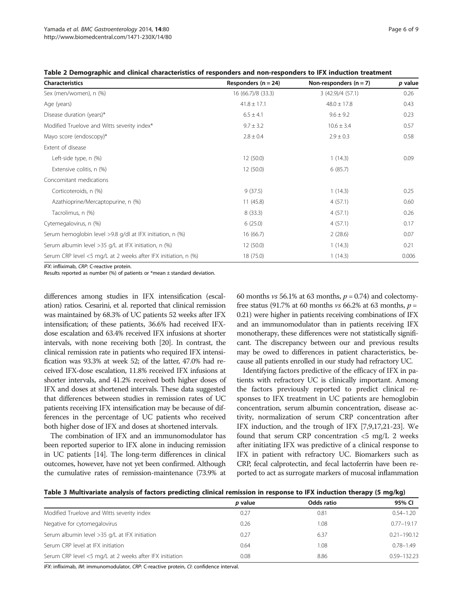<span id="page-5-0"></span>

|  |  | Table 2 Demographic and clinical characteristics of responders and non-responders to IFX induction treatment |
|--|--|--------------------------------------------------------------------------------------------------------------|
|--|--|--------------------------------------------------------------------------------------------------------------|

| <b>Characteristics</b>                                         | Responders ( $n = 24$ ) | Non-responders $(n = 7)$ | p value |
|----------------------------------------------------------------|-------------------------|--------------------------|---------|
| Sex (men/women), n (%)                                         | 16 (66.7)/8 (33.3)      | 3 (42.9)/4 (57.1)        | 0.26    |
| Age (years)                                                    | $41.8 \pm 17.1$         | $48.0 \pm 17.8$          | 0.43    |
| Disease duration (years)*                                      | $6.5 \pm 4.1$           | $9.6 \pm 9.2$            | 0.23    |
| Modified Truelove and Witts severity index*                    | $9.7 \pm 3.2$           | $10.6 \pm 3.4$           | 0.57    |
| Mayo score (endoscopy)*                                        | $2.8 \pm 0.4$           | $2.9 \pm 0.3$            | 0.58    |
| Extent of disease                                              |                         |                          |         |
| Left-side type, n (%)                                          | 12(50.0)                | 1(14.3)                  | 0.09    |
| Extensive colitis, n (%)                                       | 12(50.0)                | 6(85.7)                  |         |
| Concomitant medications                                        |                         |                          |         |
| Corticoteroids, n (%)                                          | 9(37.5)                 | 1(14.3)                  | 0.25    |
| Azathioprine/Mercaptopurine, n (%)                             | 11(45.8)                | 4(57.1)                  | 0.60    |
| Tacrolimus, n (%)                                              | 8(33.3)                 | 4(57.1)                  | 0.26    |
| Cytemegalovirus, n (%)                                         | 6(25.0)                 | 4(57.1)                  | 0.17    |
| Serum hemoglobin level >9.8 g/dl at IFX initiation, n (%)      | 16(66.7)                | 2(28.6)                  | 0.07    |
| Serum albumin level >35 g/L at IFX initiation, n (%)           | 12(50.0)                | 1(14.3)                  | 0.21    |
| Serum CRP level <5 mg/L at 2 weeks after IFX initiation, n (%) | 18 (75.0)               | 1(14.3)                  | 0.006   |

IFX: infliximab, CRP: C-reactive protein.

Results reported as number (%) of patients or  $*$ mean  $\pm$  standard deviation.

differences among studies in IFX intensification (escalation) ratios. Cesarini, et al. reported that clinical remission was maintained by 68.3% of UC patients 52 weeks after IFX intensification; of these patients, 36.6% had received IFXdose escalation and 63.4% received IFX infusions at shorter intervals, with none receiving both [[20](#page-8-0)]. In contrast, the clinical remission rate in patients who required IFX intensification was 93.3% at week 52; of the latter, 47.0% had received IFX-dose escalation, 11.8% received IFX infusions at shorter intervals, and 41.2% received both higher doses of IFX and doses at shortened intervals. These data suggested that differences between studies in remission rates of UC patients receiving IFX intensification may be because of differences in the percentage of UC patients who received both higher dose of IFX and doses at shortened intervals.

The combination of IFX and an immunomodulator has been reported superior to IFX alone in inducing remission in UC patients [[14](#page-7-0)]. The long-term differences in clinical outcomes, however, have not yet been confirmed. Although the cumulative rates of remission-maintenance (73.9% at 60 months *vs* 56.1% at 63 months,  $p = 0.74$ ) and colectomyfree status (91.7% at 60 months vs 66.2% at 63 months,  $p =$ 0.21) were higher in patients receiving combinations of IFX and an immunomodulator than in patients receiving IFX monotherapy, these differences were not statistically significant. The discrepancy between our and previous results may be owed to differences in patient characteristics, because all patients enrolled in our study had refractory UC.

Identifying factors predictive of the efficacy of IFX in patients with refractory UC is clinically important. Among the factors previously reported to predict clinical responses to IFX treatment in UC patients are hemoglobin concentration, serum albumin concentration, disease activity, normalization of serum CRP concentration after IFX induction, and the trough of IFX [\[7,9,17,](#page-7-0)[21](#page-8-0)-[23](#page-8-0)]. We found that serum CRP concentration <5 mg/L 2 weeks after initiating IFX was predictive of a clinical response to IFX in patient with refractory UC. Biomarkers such as CRP, fecal calprotectin, and fecal lactoferrin have been reported to act as surrogate markers of mucosal inflammation

| Table 3 Multivariate analysis of factors predicting clinical remission in response to IFX induction therapy (5 mg/kg) |  |  |
|-----------------------------------------------------------------------------------------------------------------------|--|--|
|                                                                                                                       |  |  |

|                                                         | p value | Odds ratio | 95% CI          |
|---------------------------------------------------------|---------|------------|-----------------|
| Modified Truelove and Witts severity index              | 0.27    | 0.81       | $0.54 - 1.20$   |
| Negative for cytomegalovirus                            | 0.26    | 1.08       | $0.77 - 19.17$  |
| Serum albumin level >35 g/L at IFX initiation           | 0.27    | 6.37       | $0.21 - 190.12$ |
| Serum CRP level at IFX initiation                       | 0.64    | 1.08       | $0.78 - 1.49$   |
| Serum CRP level <5 mg/L at 2 weeks after IFX initiation | 0.08    | 8.86       | 0.59-132.23     |

IFX: infliximab, IM: immunomodulator, CRP: C-reactive protein, CI: confidence interval.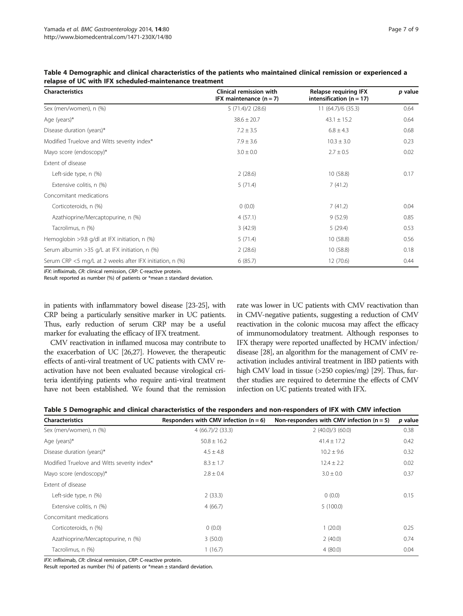| <b>Characteristics</b>                                   | <b>Clinical remission with</b><br>IFX maintenance $(n = 7)$ | <b>Relapse requiring IFX</b><br>intensification ( $n = 17$ ) | p value |
|----------------------------------------------------------|-------------------------------------------------------------|--------------------------------------------------------------|---------|
| Sex (men/women), n (%)                                   | 5(71.4)/2(28.6)                                             | 11 (64.7)/6 (35.3)                                           | 0.64    |
| Age (years) $*$                                          | $38.6 \pm 20.7$                                             | $43.1 \pm 15.2$                                              | 0.64    |
| Disease duration (years)*                                | $7.2 \pm 3.5$                                               | $6.8 \pm 4.3$                                                | 0.68    |
| Modified Truelove and Witts severity index*              | $7.9 \pm 3.6$                                               | $10.3 \pm 3.0$                                               | 0.23    |
| Mayo score (endoscopy)*                                  | $3.0 \pm 0.0$                                               | $2.7 \pm 0.5$                                                | 0.02    |
| Extent of disease                                        |                                                             |                                                              |         |
| Left-side type, n (%)                                    | 2(28.6)                                                     | 10(58.8)                                                     | 0.17    |
| Extensive colitis, n (%)                                 | 5(71.4)                                                     | 7(41.2)                                                      |         |
| Concomitant medications                                  |                                                             |                                                              |         |
| Corticoteroids, n (%)                                    | 0(0.0)                                                      | 7(41.2)                                                      | 0.04    |
| Azathioprine/Mercaptopurine, n (%)                       | 4(57.1)                                                     | 9(52.9)                                                      | 0.85    |
| Tacrolimus, n (%)                                        | 3(42.9)                                                     | 5(29.4)                                                      | 0.53    |
| Hemoglobin >9.8 g/dl at IFX initiation, n (%)            | 5(71.4)                                                     | 10(58.8)                                                     | 0.56    |
| Serum albumin > 35 g/L at IFX initiation, n (%)          | 2(28.6)                                                     | 10(58.8)                                                     | 0.18    |
| Serum CRP <5 mg/L at 2 weeks after IFX initiation, n (%) | 6(85.7)                                                     | 12 (70.6)                                                    | 0.44    |

<span id="page-6-0"></span>Table 4 Demographic and clinical characteristics of the patients who maintained clinical remission or experienced a relapse of UC with IFX scheduled-maintenance treatment

IFX: infliximab, CR: clinical remission, CRP: C-reactive protein.

Result reported as number (%) of patients or \*mean ± standard deviation.

in patients with inflammatory bowel disease [\[23](#page-8-0)-[25](#page-8-0)], with CRP being a particularly sensitive marker in UC patients. Thus, early reduction of serum CRP may be a useful marker for evaluating the efficacy of IFX treatment.

CMV reactivation in inflamed mucosa may contribute to the exacerbation of UC [\[26,27](#page-8-0)]. However, the therapeutic effects of anti-viral treatment of UC patients with CMV reactivation have not been evaluated because virological criteria identifying patients who require anti-viral treatment have not been established. We found that the remission

rate was lower in UC patients with CMV reactivation than in CMV-negative patients, suggesting a reduction of CMV reactivation in the colonic mucosa may affect the efficacy of immunomodulatory treatment. Although responses to IFX therapy were reported unaffected by HCMV infection/ disease [\[28\]](#page-8-0), an algorithm for the management of CMV reactivation includes antiviral treatment in IBD patients with high CMV load in tissue (>250 copies/mg) [[29](#page-8-0)]. Thus, further studies are required to determine the effects of CMV infection on UC patients treated with IFX.

|  | Table 5 Demographic and clinical characteristics of the responders and non-responders of IFX with CMV infection |  |  |
|--|-----------------------------------------------------------------------------------------------------------------|--|--|
|--|-----------------------------------------------------------------------------------------------------------------|--|--|

| <b>Characteristics</b>                      | Responders with CMV infection ( $n = 6$ ) | Non-responders with CMV infection ( $n = 5$ ) | p value |
|---------------------------------------------|-------------------------------------------|-----------------------------------------------|---------|
| Sex (men/women), n (%)                      | 4(66.7)/2(33.3)                           | 2(40.0)/3(60.0)                               | 0.38    |
| Age (years) $*$                             | $50.8 \pm 16.2$                           | $41.4 \pm 17.2$                               | 0.42    |
| Disease duration (years)*                   | $4.5 \pm 4.8$                             | $10.2 \pm 9.6$                                | 0.32    |
| Modified Truelove and Witts severity index* | $8.3 \pm 1.7$                             | $12.4 \pm 2.2$                                | 0.02    |
| Mayo score (endoscopy)*                     | $2.8 \pm 0.4$                             | $3.0 \pm 0.0$                                 | 0.37    |
| Extent of disease                           |                                           |                                               |         |
| Left-side type, n (%)                       | 2(33.3)                                   | 0(0.0)                                        | 0.15    |
| Extensive colitis, n (%)                    | 4(66.7)                                   | 5(100.0)                                      |         |
| Concomitant medications                     |                                           |                                               |         |
| Corticoteroids, n (%)                       | 0(0.0)                                    | 1(20.0)                                       | 0.25    |
| Azathioprine/Mercaptopurine, n (%)          | 3(50.0)                                   | 2(40.0)                                       | 0.74    |
| Tacrolimus, n (%)                           | 1(16.7)                                   | 4(80.0)                                       | 0.04    |

IFX: infliximab, CR: clinical remission, CRP: C-reactive protein.

Result reported as number (%) of patients or  $*$ mean  $\pm$  standard deviation.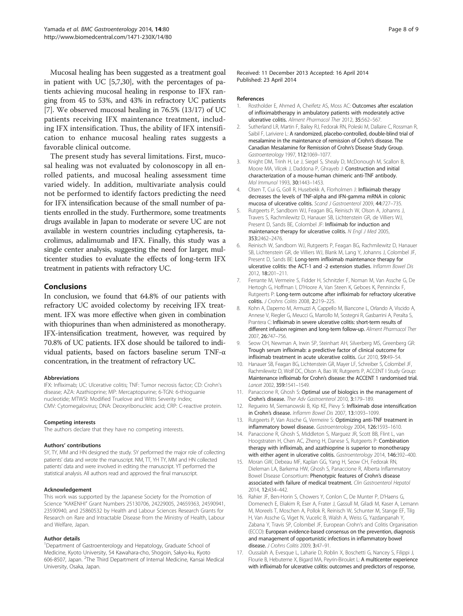<span id="page-7-0"></span>Mucosal healing has been suggested as a treatment goal in patient with UC [5,7[,30\]](#page-8-0), with the percentages of patients achieving mucosal healing in response to IFX ranging from 45 to 53%, and 43% in refractory UC patients [7]. We observed mucosal healing in 76.5% (13/17) of UC patients receiving IFX maintenance treatment, including IFX intensification. Thus, the ability of IFX intensification to enhance mucosal healing rates suggests a favorable clinical outcome.

The present study has several limitations. First, mucosal healing was not evaluated by colonoscopy in all enrolled patients, and mucosal healing assessment time varied widely. In addition, multivariate analysis could not be performed to identify factors predicting the need for IFX intensification because of the small number of patients enrolled in the study. Furthermore, some treatments drugs available in Japan to moderate or severe UC are not available in western countries including cytapheresis, tacrolimus, adalimumab and IFX. Finally, this study was a single center analysis, suggesting the need for larger, multicenter studies to evaluate the effects of long-term IFX treatment in patients with refractory UC.

# Conclusions

In conclusion, we found that 64.8% of our patients with refractory UC avoided colectomy by receiving IFX treatment. IFX was more effective when given in combination with thiopurines than when administered as monotherapy. IFX-intensification treatment, however, was required by 70.8% of UC patients. IFX dose should be tailored to individual patients, based on factors baseline serum TNF-α concentration, in the treatment of refractory UC.

#### Abbreviations

IFX: Infliximab; UC: Ulcerative colitis; TNF: Tumor necrosis factor; CD: Crohn's disease; AZA: Azathioprine; MP: Mercaptopurine; 6-TGN: 6-thioguanie nucleotide; MTWSI: Modified Truelove and Witts Severity Index; CMV: Cytomegalovirus; DNA: Deoxyribonucleic acid; CRP: C-reactive protein.

#### Competing interests

The authors declare that they have no competing interests.

#### Authors' contributions

SY, TY, MM and HN designed the study. SY performed the major role of collecting patients' data and wrote the manuscript. NM, TT, YH TY, MM and HN collected patients' data and were involved in editing the manuscript. YT performed the statistical analysis. All authors read and approved the final manuscript.

#### Acknowledgement

This work was supported by the Japanese Society for the Promotion of Science "KAKENHI" Grant Numbers 25130706, 24229005, 24659363, 24590941, 23590940, and 25860532 by Health and Labour Sciences Research Grants for Research on Rare and Intractable Disease from the Ministry of Health, Labour and Welfare, Japan.

#### Author details

<sup>1</sup>Department of Gastroenterology and Hepatology, Graduate School of Medicine, Kyoto University, 54 Kawahara-cho, Shogoin, Sakyo-ku, Kyoto 606-8507, Japan. <sup>2</sup>The Third Department of Internal Medicine, Kansai Medical University, Osaka, Japan.

#### References

- 1. Rostholder E, Ahmed A, Cheifetz AS, Moss AC: Outcomes after escalation of infliximabtherapy in ambulatory patients with moderately active ulcerative colitis. Aliment Pharmacol Ther 2012, 35:562–567.
- Sutherland LR, Martin F, Bailey RJ, Fedorak RN, Poleski M, Dallaire C, Rossman R, Saibil F, Lariviere L: A randomized, placebo-controlled, double-blind trial of mesalamine in the maintenance of remission of Crohn's disease. The Canadian Mesalamine for Remission of Crohn's Disease Study Group. Gastroenterology 1997, 112:1069–1077.
- 3. Knight DM, Trinh H, Le J, Siegel S, Shealy D, McDonough M, Scallon B, Moore MA, Vilcek J, Daddona P, Ghrayeb J: Construction and initial characterization of a mouse-human chimeric anti-TNF antibody. Mol Immunol 1993, 30:1443–1453.
- 4. Olsen T, Cui G, Goll R, Husebekk A, Florholmen J: Infliximab therapy decreases the levels of TNF-alpha and IFN-gamma mRNA in colonic mucosa of ulcerative colitis. Scand J Gastroenterol 2009, 44:727–735.
- 5. Rutgeerts P, Sandborn WJ, Feagan BG, Reinisch W, Olson A, Johanns J, Travers S, Rachmilewitz D, Hanauer SB, Lichtenstein GR, de Villiers WJ, Present D, Sands BE, Colombel JF: Infliximab for induction and maintenance therapy for ulcerative colitis. N Engl J Med 2005, 353:2462–2476.
- 6. Reinisch W, Sandborn WJ, Rutgeerts P, Feagan BG, Rachmilewitz D, Hanauer SB, Lichtenstein GR, de Villiers WJ, Blank M, Lang Y, Johanns J, Colombel JF, Present D, Sands BE: Long-term infliximab maintenance therapy for ulcerative colitis: the ACT-1 and -2 extension studies. Inflamm Bowel Dis 2012, 18:201–211.
- 7. Ferrante M, Vermeire S, Fidder H, Schnitzler F, Noman M, Van Assche G, De Hertogh G, Hoffman I, D'Hoore A, Van Steen K, Geboes K, Penninckx F, Rutgeerts P: Long-term outcome after infliximab for refractory ulcerative colitis. J Crohns Colitis 2008, 2:219–225.
- Kohn A, Daperno M, Armuzzi A, Cappello M, Biancone L, Orlando A, Viscido A, Annese V, Riegler G, Meucci G, Marrollo M, Sostegni R, Gasbarrini A, Peralta S, Prantera C: Infliximab in severe ulcerative colitis: short-term results of different infusion regimen and long-term follow-up. Aliment Pharmacol Ther 2007, 26:747–756.
- 9. Seow CH, Newman A, Irwin SP, Steinhart AH, Silverberg MS, Greenberg GR: Trough serum infliximab: a predictive factor of clinical outcome for infliximab treatment in acute ulcerative colitis. Gut 2010, 59:49–54.
- 10. Hanauer SB, Feagan BG, Lichtenstein GR, Mayer LF, Schreiber S, Colombel JF, Rachmilewitz D, Wolf DC, Olson A, Bao W, Rutgeerts P, ACCENT I Study Group: Maintenance infliximab for Crohn's disease: the ACCENT 1 randomised trial. Lancet 2002, 359:1541–1549.
- 11. Panaccione R, Ghosh S: Optimal use of biologics in the management of Crohn's disease. Ther Adv Gastroenterol 2010, 3:179–189.
- 12. Regueiro M, Siemanowski B, Kip KE, Pievy S: Infliximab dose intensification in Crohn's disease. Inflamm Bowel Dis 2007, 13:1093–1099.
- 13. Rutgeerts P, Van Assche G, Vermeire S: Optimizing anti-TNF treatment in inflammatory bowel disease. Gastroenterology 2004, 126:1593–1610.
- 14. Panaccione R, Ghosh S, Middleton S, Marguez JR, Scott BB, Flint L, van Hoogstraten H, Chen AC, Zheng H, Danese S, Rutgeerts P: Combination therapy with infliximab, and azathioprine is superior to monotherapy with either agent in ulcerative colitis. Gastroenterology 2014, 146:392–400.
- 15. Moran GW, Debeau MF, Kaplan GG, Yang H, Seow CH, Fedorak RN, Dieleman LA, Barkema HW, Ghosh S, Panaccione R, Alberta Inflammatory Bowel Disease Consortium: Phenotypic features of Crohn's disease associated with failure of medical treatment. Clin Gastroenterol Hepatol 2014, 12:434–442.
- 16. Rahier JF, Ben-Horin S, Chowers Y, Conlon C, De Munter P, D'Haens G, Domenech E, Eliakim R, Eser A, Frater J, Gassull M, Giladi M, Kaser A, Lemann M, Moreels T, Moschen A, Pollok R, Reinisch W, Schunter M, Stange EF, Tilg H, Van Assche G, Viget N, Vucelic B, Walsh A, Weiss G, Yazdanpanah Y, Zabana Y, Travis SP, Colombel JF, European Crohn's and Colitis Organisation (ECCO): European evidence-based consensus on the prevention, diagnosis and management of opportunistic infections in inflammatory bowel disease. J Crohns Colitis 2009, 3:47–91.
- 17. Oussalah A, Evesque L, Laharie D, Roblin X, Boschetti G, Nancey S, Filippi J, Flourie B, Hebuterne X, Bigard MA, Peyrin-Biroulet L: A multicenter experience with infliximab for ulcerative colitis: outcomes and predictors of response,